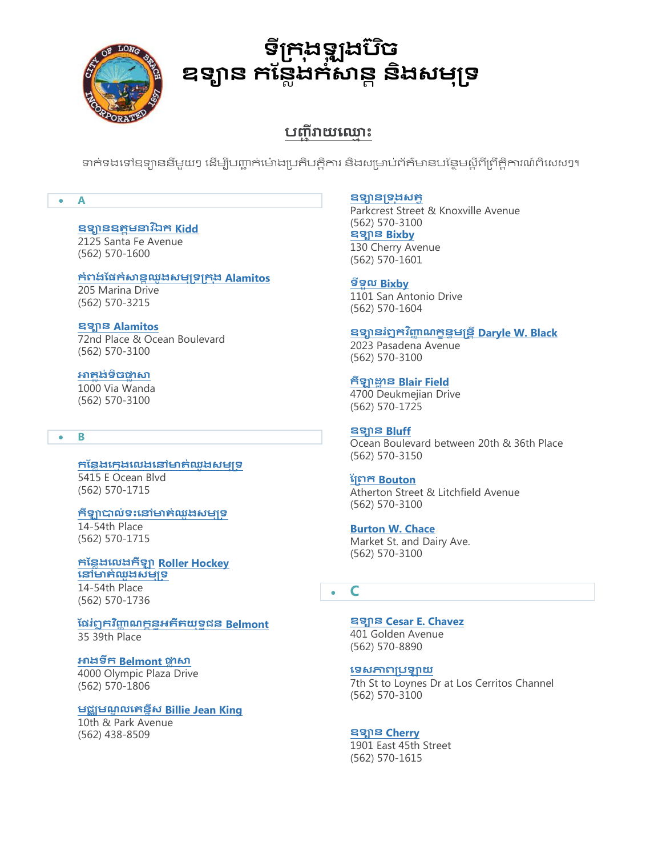

# **ទីក្រង ុ ឡុ ងបច៊ិ** ឧទ្យាន កន្លែងកំសាន្ត និងសម្<u>ប</u>ុទ

## **ប**ពាិរាយឈោះ

ទាក់ទងទៅឧទ្យាននីមួយៗ ដើម្បីបញ្ជាក់ម៉ោងប្រតិបត្តិការ និងសម្រាប់ព័ត៌មានបន្ថែមស្តីពីព្រឹត្តិការណ៍ពិសេសៗ។

#### **A**

## **ឧទានឧត្តមនាវឯី រ Kidd**

2125 Santa Fe Avenue (562) 570-1600

#### **រំពង់ ន្ែរំសានដឈូងសមុក្ទក្រ ុង [Alamitos](http://www.longbeach.gov/park/park-and-facilities/directory/alamitos-bay-marina/)**

205 Marina Drive (562) 570-3215

**ឧទាន [Alamitos](http://www.longbeach.gov/park/park-and-facilities/directory/alamitos-park/)** 72nd Place & Ocean Boulevard (562) 570-3100

**[អាត្ែង់ទិចផ្លែ សា](http://www.longbeach.gov/park/park-and-facilities/directory/atlantic-plaza/)** 1000 Via Wanda

(562) 570-3100

#### **B**

**[រន្នែងឈរមងឈេងឈៅមាត្់ឈូងសមុក្ទ](http://www.longbeach.gov/park/park-and-facilities/directory/bayshore-playground/)** 5415 E Ocean Blvd (562) 570-1715

#### **រីឡាបាេ់ទោះឈៅមាត្់ឈូងសមុក្ទ**

14-54th Place (562) 570-1715

**រន្នែងឈេងរីឡា Roller Hockey ឈៅមាត្់ឈូងសមុក្[ទ](http://www.longbeach.gov/park/park-and-facilities/directory/bayshore-roller-hockey-rink/)** 14-54th Place (562) 570-1736

**ន្ែរំឭរវញ្ញិ ាណរខនធអត្ីត្យុទធជន [Belmont](http://www.longbeach.gov/park/park-and-facilities/parks-centers-pier/belmont-veterans-memorial-pier/)**  35 39th Place

#### **អាងទឹរ [Belmont](http://www.longbeach.gov/park/recreation-programs/aquatics/pools/belmont-pool/) ផ្លែ សា**

4000 Olympic Plaza Drive (562) 570-1806

#### **មជឈមណឌ េឈត្ននីស [Billie Jean King](http://www.longbeach.gov/park/park-and-facilities/directory/billie-jean-king-tennis-center/)**

10th & Park Avenue (562) 438-8509

#### **ឧទានក្ទ ុងសត្វ**

Parkcrest Street & Knoxville Avenue (562) 570-3100 **ឧទាន [Bixby](http://www.longbeach.gov/park/park-and-facilities/directory/bixby-park/)**  130 Cherry Avenue (562) 570-1601

**ទីទួេ [Bixby](http://www.longbeach.gov/park/park-and-facilities/directory/bixby-knolls/)**  1101 San Antonio Drive (562) 570-1604

### **ឧទានរំឭរវញ្ញិ ាណរខនធមន្តនតី [Daryle W. Black](http://www.longbeach.gov/park/park-and-facilities/directory/daryle-black-park/)**

2023 Pasadena Avenue (562) 570-3100

#### **រីឡាដ្ឋា ន [Blair Field](http://www.longbeach.gov/park/park-and-facilities/directory/blair-field/)**

4700 Deukmejian Drive (562) 570-1725

#### **ឧទាន [Bluff](http://www.longbeach.gov/park/park-and-facilities/directory/bluff-park/)**

Ocean Boulevard between 20th & 36th Place (562) 570-3150

#### **ន្ក្ពរ [Bouton](http://www.longbeach.gov/park/park-and-facilities/directory/bouton-creek-park/)**

Atherton Street & Litchfield Avenue (562) 570-3100

#### **[Burton W. Chace](http://www.longbeach.gov/park/park-and-facilities/directory/burton-w--chace-park/)**

Market St. and Dairy Ave. (562) 570-3100

### **C**

**ឧទាន [Cesar E. Chavez](http://www.longbeach.gov/park/park-and-facilities/directory/cesar-e--chavez-park/)**  401 Golden Avenue (562) 570-8890

#### **ឈទសភាពក្បឡាយ**

7th St to Loynes Dr at Los Cerritos Channel (562) 570-3100

#### **ឧទាន [Cherry](http://www.longbeach.gov/park/park-and-facilities/directory/cherry-park/)**

1901 East 45th Street (562) 570-1615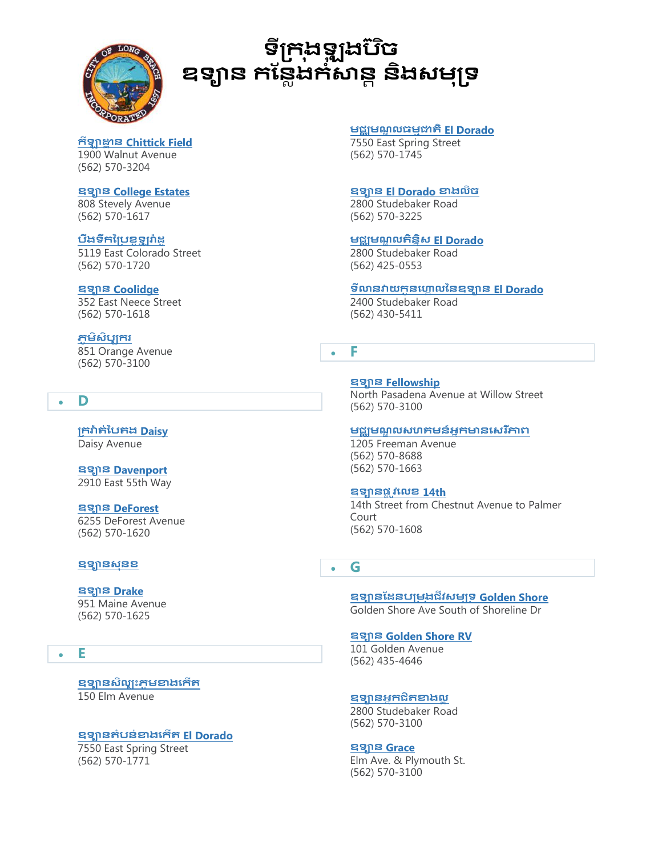

# **ទីក្រង ុ ឡុ ងបច៊ិ** ឧទ្យាន កន្លែងកំសាន្ត និងសមុទ្រ

**រីឡាដ្ឋា ន [Chittick Field](http://www.longbeach.gov/park/park-and-facilities/directory/chittick-field/)** 1900 Walnut Avenue (562) 570-3204

**ឧទាន [College Estates](http://www.longbeach.gov/park/park-and-facilities/directory/college-estates-park/)**  808 Stevely Avenue (562) 570-1617

#### **បឹងទឹរប្ក្បខូឡូ រា៉ា[ដូ](http://www.longbeach.gov/park/recreation-programs/aquatics/colorado-lagoon/)** 5119 East Colorado Street

(562) 570-1720

#### **ឧទាន [Coolidge](http://www.longbeach.gov/park/park-and-facilities/directory/coolidge-park/)**

352 East Neece Street (562) 570-1618

## **ភូ មិសិបបររ**

851 Orange Avenue (562) 570-3100

## **D**

**ក្រវ៉ាត្់ប្បត្ង [Daisy](http://www.longbeach.gov/park/park-and-facilities/directory/daisy-greenbelt/)**  Daisy Avenue

**ឧទាន [Davenport](http://www.longbeach.gov/park/park-and-facilities/directory/ed-pops-davenport-park/)**  2910 East 55th Way

## **ឧទាន [DeForest](http://www.longbeach.gov/park/park-and-facilities/directory/deforest-park/)**

6255 DeForest Avenue (562) 570-1620

#### **ឧទានសុនខ**

#### **ឧទាន [Drake](http://www.longbeach.gov/park/park-and-facilities/directory/drake-park/)**

951 Maine Avenue (562) 570-1625

#### **E**

#### **ឧទានសិេបោះភូ មខាងឈរើត្** 150 Elm Avenue

#### **ឧទានត្ំបន់ខាងឈរើត្ El Dorado**

7550 East Spring Street (562) 570-1771

#### **មជឈមណឌ េធមមជាត្ិ [El Dorado](http://www.longbeach.gov/park/park-and-facilities/parks-centers-pier/el-dorado-nature-center/)**

7550 East Spring Street (562) 570-1745

#### **ឧទាន [El Dorado](http://www.longbeach.gov/park/park-and-facilities/directory/el-dorado-park-west/) ខាងេិច**

2800 Studebaker Road (562) 570-3225

## **មជឈមណឌ េត្ិននិស [El Dorado](http://www.longbeach.gov/park/park-and-facilities/directory/el-dorado-tennis-center/)**

2800 Studebaker Road (562) 425-0553

#### **ទីលានវយរូនឈគោ េប្នឧទាន [El Dorado](http://www.longbeach.gov/park/park-and-facilities/directory/el-dorado-golf-course/)**

2400 Studebaker Road (562) 430-5411

## **F**

**ឧទាន [Fellowship](http://www.longbeach.gov/park/park-and-facilities/directory/fellowship-park/)** 

North Pasadena Avenue at Willow Street (562) 570-3100

#### **មជឈមណឌ េសហគមន៍អនរមានឈសរ ីភាព**

1205 Freeman Avenue (562) 570-8688 (562) 570-1663

#### **ឧទានែល ូវឈេខ [14th](http://www.longbeach.gov/park/park-and-facilities/directory/14th-street-park/)**

14th Street from Chestnut Avenue to Palmer Court (562) 570-1608

## **G**

**ឧទានន្ដនបក្មងុ ជីវសមុក្ទ [Golden Shore](http://www.longbeach.gov/park/park-and-facilities/directory/golden-shore-marine-biological-reserve-park/)**  Golden Shore Ave South of Shoreline Dr

## **ឧទាន [Golden Shore RV](http://www.longbeach.gov/park/park-and-facilities/directory/golden-shore-rv-resort/)**

101 Golden Avenue (562) 435-4646

#### **ឧទានអនរជិត្ខាងេព**

2800 Studebaker Road (562) 570-3100

#### **ឧទាន [Grace](http://www.longbeach.gov/park/park-and-facilities/directory/grace-park/)**

Elm Ave. & Plymouth St. (562) 570-3100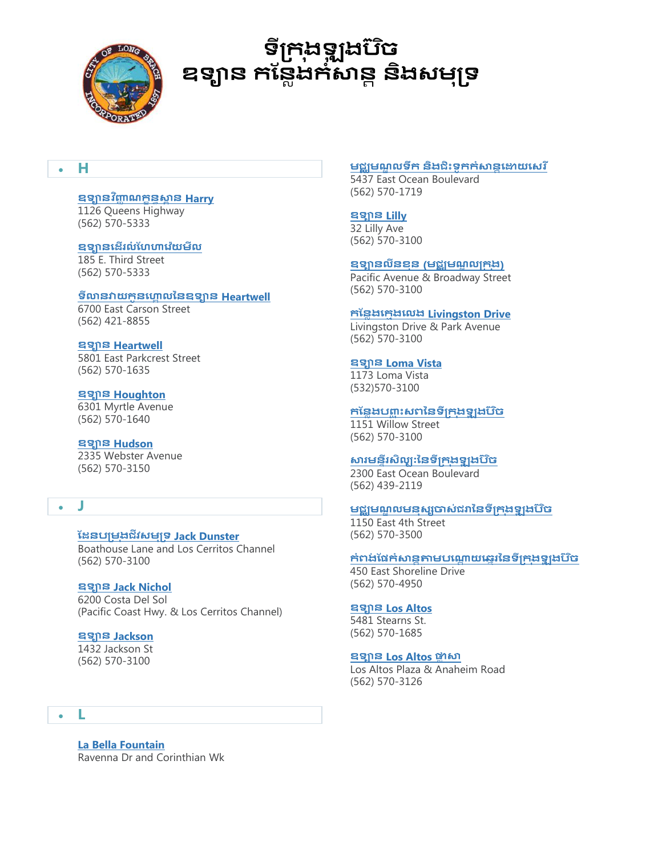

# **ទីក្រង ុ ឡុ ងបច៊ិ** ឧទ្យាន កន្លែងកំសាន្ត និងសម្<u>ប</u>ទ

## **H**

## **ឧទានវញ្ញិ ាណរខនធសាពន [Harry](http://www.longbeach.gov/park/park-and-facilities/directory/queen-mary-events-park/)**

1126 Queens Highway (562) 570-5333

### **ឧទានឈដើរេំ ន្ហគឈវ៉ាយមីេ**

185 E. Third Street (562) 570-5333

## **ទីលានវយរូនឈគោ េប្នឧទាន [Heartwell](http://www.longbeach.gov/park/park-and-facilities/directory/heartwell-golf-course/)**

6700 East Carson Street (562) 421-8855

## **ឧទាន [Heartwell](http://www.longbeach.gov/park/park-and-facilities/directory/heartwell-park/)**

5801 East Parkcrest Street (562) 570-1635

#### **ឧទាន [Houghton](http://www.longbeach.gov/park/park-and-facilities/directory/houghton-park/)**

6301 Myrtle Avenue (562) 570-1640

#### **ឧទាន [Hudson](http://www.longbeach.gov/park/park-and-facilities/directory/hudson-park/)**

2335 Webster Avenue (562) 570-3150

## **J**

## **ន្ដនបក្មងុ ជីវសមុក្ទ [Jack Dunster](http://www.longbeach.gov/park/park-and-facilities/directory/jack-dunster-marine-biological-reserve/)**

Boathouse Lane and Los Cerritos Channel (562) 570-3100

#### **ឧទាន [Jack Nichol](http://www.longbeach.gov/park/park-and-facilities/directory/jack-nichol-park/)**

6200 Costa Del Sol (Pacific Coast Hwy. & Los Cerritos Channel)

## **ឧទាន [Jackson](http://www.longbeach.gov/park/park-and-facilities/directory/jackson-park/)**

1432 Jackson St (562) 570-3100

## **L**

**[La Bella Fountain](http://www.longbeach.gov/park/park-and-facilities/directory/la-bella-fontana-di-napoli/)** Ravenna Dr and Corinthian Wk

#### <mark>មជ្ឈមណ្ឌលទឹក និ</mark>ងជិះទូ<del>ក</del>ក់សាន្តដោយសេរី

5437 East Ocean Boulevard (562) 570-1719

## **ឧទាន [Lilly](http://www.longbeach.gov/park/park-and-facilities/directory/lilly-park/)**

32 Lilly Ave (562) 570-3100

#### **ឧទានេីនខុន ([មជឈមណឌ េក្រ ុង](http://www.longbeach.gov/park/park-and-facilities/directory/lincoln-park/))**

Pacific Avenue & Broadway Street (562) 570-3100

## **រន្នែងឈរមងឈេង Livingston Drive**

Livingston Drive & Park Avenue (562) 570-3100

#### **ឧទាន [Loma Vista](http://www.longbeach.gov/park/park-and-facilities/directory/loma-vista/)**

1173 Loma Vista (532)570-3100

## **រន្នែងបញ្្ ច ោះសពប្នទីក្រ ុងឡុ ងប ៊ិច**

1151 Willow Street (562) 570-3100

#### **សារមនទីរសិេបៈប្នទីក្រ ុងឡុ ងប ៊ិច**

2300 East Ocean Boulevard (562) 439-2119

#### មជ្ឈមណ្ឌលមនុស្សចាស់ជរានៃទីក្រុងទ្<del>បូ</del>ងប៊ិច

1150 East 4th Street (562) 570-3500

#### កំពង់ផែកំសាន្តតាមបណ្តោយឆ្នេរនៃទីក្រុងទ្<del>វ</del>ូរងប៊ិច

450 East Shoreline Drive (562) 570-4950

#### **ឧទាន [Los Altos](http://www.longbeach.gov/park/park-and-facilities/directory/los-altos-park/)**

5481 Stearns St. (562) 570-1685

#### **ឧទាន [Los Altos](http://www.longbeach.gov/park/park-and-facilities/directory/los-altos-park-plaza/) ផ្លែ សា**

Los Altos Plaza & Anaheim Road (562) 570-3126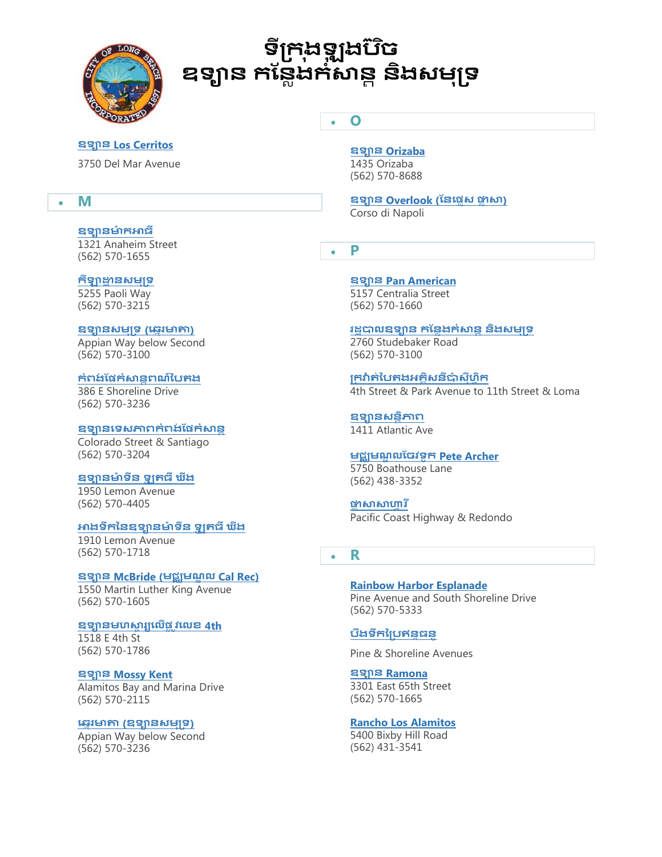

# **ទីក្រង ុ ឡុ ងបច៊ិ** ឧទ្យាន កន្លែងកំសាន្ត និងសម្<u>ប</u>ុទ

**O**

#### **ឧទាន [Los Cerritos](http://www.longbeach.gov/park/park-and-facilities/directory/los-cerritos-park/)**

3750 Del Mar Avenue

## **M**

#### **ឧទានមា៉ា រអាធឺ**

1321 Anaheim Street (562) 570-1655

## **រីឡាដ្ឋា នសមុក្ទ**

5255 Paoli Way (562) 570-3215

#### **ឧទានសមុក្ទ ([ឈននរមាតា](http://www.longbeach.gov/park/park-and-facilities/directory/marine-park-(mothers-beach)/))**

Appian Way below Second (562) 570-3100

## **រំពង់ ន្ែរំសានដពណ៌ប្បត្ង**

386 E Shoreline Drive (562) 570-3236

#### **ឧទានឈទសភាពរំពង់ ន្ែរំសានដ**

Colorado Street & Santiago (562) 570-3204

#### **ឧទានមា៉ា ទីន ឡូ ត្ធឺ ឃីង**

1950 Lemon Avenue (562) 570-4405

### **អាងទឹរប្នឧទានមា៉ា ទីន ឡូ ត្ធឺ ឃីង**

1910 Lemon Avenue (562) 570-1718

#### **ឧទាន McBride ([មជឈមណឌ េ](http://www.longbeach.gov/park/park-and-facilities/directory/mcbride-park/) Cal Rec)**

1550 Martin Luther King Avenue (562) 570-1605

#### **ឧទានមហសាា រយឈេើែល ូវឈេខ [4th](http://www.longbeach.gov/park/park-and-facilities/directory/miracle-on-fourth-street-park/)**

1518 E 4th St (562) 570-1786

#### **ឧទាន [Mossy Kent](http://www.longbeach.gov/park/park-and-facilities/directory/mossy-kent-park/)**

Alamitos Bay and Marina Drive (562) 570-2115

#### **ឈននរមាតា ([ឧទានសមុក្ទ](http://www.longbeach.gov/park/park-and-facilities/directory/marine-park-(mothers-beach)/))**

Appian Way below Second (562) 570-3236

## **ឧទាន [Orizaba](http://www.longbeach.gov/park/park-and-facilities/directory/orizaba-park/)**

1435 Orizaba (562) 570-8688

# **ឧទាន [Overlook \(](http://www.longbeach.gov/park/park-and-facilities/directory/overlook-park/)ន្នឈែែស ផ្លែ សា)**

Corso di Napoli

**P**

**ឧទាន [Pan American](http://www.longbeach.gov/park/park-and-facilities/directory/pan-american-park/)**  5157 Centralia Street (562) 570-1660

## រដ**បាលឧទ្យាន កន្លែងក់សាន និងសម្បទ**

2760 Studebaker Road (562) 570-3100

**ក្រវ៉ាត្់ប្បត្ងអគោិសនីបា៉ាសុីហវិរ** 4th Street & Park Avenue to 11th Street & Loma

**ឧទានសនដិភាព** 1411 Atlantic Ave

## **មជឈមណឌ េន្ចវទូរ [Pete Archer](http://www.longbeach.gov/park/recreation-programs/aquatics/pete-archer-rowing-center/)**

5750 Boathouse Lane (562) 438-3352

**ផ្លែ សាសាគវ រ ី** Pacific Coast Highway & Redondo

## **R**

**[Rainbow Harbor Esplanade](http://www.longbeach.gov/park/park-and-facilities/directory/rainbow-harbor-esplanade/)** Pine Avenue and South Shoreline Drive (562) 570-5333

## **បឹងទឹរប្ក្បឥនទធនូ**

Pine & Shoreline Avenues

**ឧទាន [Ramona](http://www.longbeach.gov/park/park-and-facilities/directory/ramona-park/)**  3301 East 65th Street (562) 570-1665

#### **[Rancho Los Alamitos](http://www.longbeach.gov/park/park-and-facilities/directory/rancho-los-alamitos/)**

5400 Bixby Hill Road (562) 431-3541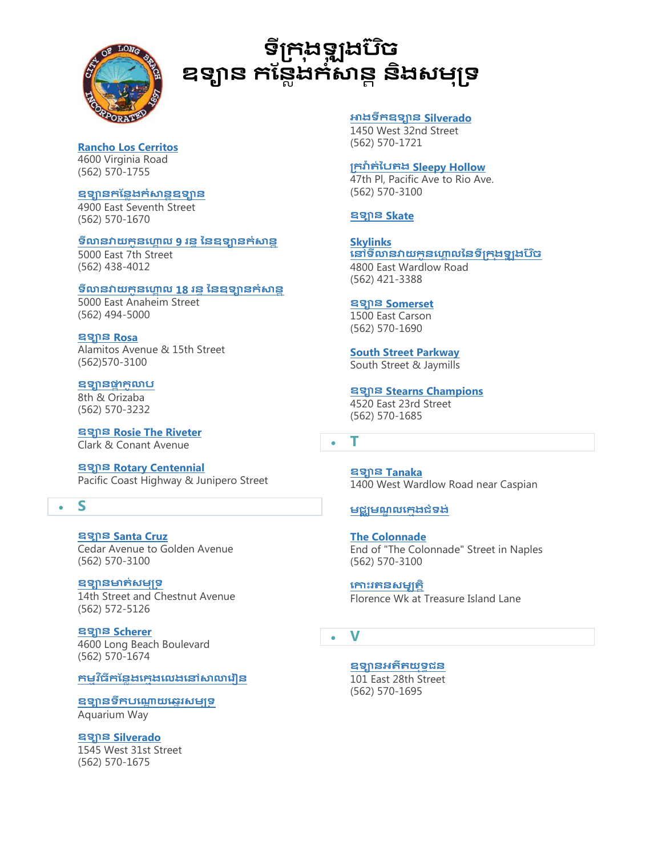

# **ទីក្រង ុ ឡុ ងបច៊ិ** ឧទ្យាន កន្លែងកំសាន្ត និងសម្<u>ប</u>ទ

## **[Rancho Los Cerritos](http://www.longbeach.gov/park/park-and-facilities/directory/rancho-los-cerritos/)** 4600 Virginia Road

(562) 570-1755

**ឧទានរន្នែងរំសានដឧទាន** 4900 East Seventh Street (562) 570-1670

#### ទីលានវាយកូនហ្គោល 9 រន្**ំនៃឧទ្យានក់សាន្ត**

5000 East 7th Street (562) 438-4012

#### ទីលានវាយកូនហ្គោល 18 រន្ទ នៃឧទ្<del>សា</del>នកំសាន្ត

5000 East Anaheim Street (562) 494-5000

#### **ឧទាន [Rosa](http://www.longbeach.gov/park/park-and-facilities/directory/rosa-parks-park/)**

Alamitos Avenue & 15th Street (562)570-3100

#### **ឧទានផ្លា រូលាប**

8th & Orizaba (562) 570-3232

**ឧទាន [Rosie The Riveter](http://www.longbeach.gov/park/park-and-facilities/directory/rosie-the-riveter-park/)**  Clark & Conant Avenue

**ឧទាន [Rotary Centennial](http://www.longbeach.gov/park/park-and-facilities/directory/rotary-centennial-park/)**  Pacific Coast Highway & Junipero Street

## **S**

**ឧទាន [Santa Cruz](http://www.longbeach.gov/park/park-and-facilities/directory/santa-cruz-park/)**  Cedar Avenue to Golden Avenue (562) 570-3100

#### **ឧទានមាត្់សមុក្ទ**

14th Street and Chestnut Avenue (562) 572-5126

**ឧទាន [Scherer](http://www.longbeach.gov/park/park-and-facilities/directory/scherer-park/)**  4600 Long Beach Boulevard (562) 570-1674

#### **រមមវធិ ីរន្នែងឈរមងឈេងឈៅសាលាឈរៀន**

**ឧទ្យានទឹកបណ្តោយឆ្នេរសមុទ្រ** Aquarium Way

**ឧទាន [Silverado](http://www.longbeach.gov/park/park-and-facilities/directory/silverado-park/)**  1545 West 31st Street (562) 570-1675

#### **អាងទឹរឧទាន Silverado**

1450 West 32nd Street (562) 570-1721

### **ក្រវ៉ាត្់ប្បត្ង [Sleepy Hollow](http://www.longbeach.gov/park/park-and-facilities/directory/sleepy-hollow-greenbelt/)**

47th Pl, Pacific Ave to Rio Ave. (562) 570-3100

### **ឧទាន [Skate](http://www.longbeach.gov/park/recreation-programs/sports-and-athletics/skate-parks/)**

**[Skylinks](http://www.longbeach.gov/park/park-and-facilities/directory/skylinks-golf-course/)**  នៅទីលានវាយកូនហ្គោលនៃទីក្រុងទ្<del>វ</del>ូរងប៊ិច 4800 East Wardlow Road (562) 421-3388

#### **ឧទាន [Somerset](http://www.longbeach.gov/park/park-and-facilities/directory/somerset-park/)**

1500 East Carson (562) 570-1690

**[South Street Parkway](http://www.longbeach.gov/park/park-and-facilities/directory/south-street-parkway/)** South Street & Jaymills

#### **ឧទាន [Stearns Champions](http://www.longbeach.gov/park/park-and-facilities/directory/stearns-champions-park/)**  4520 East 23rd Street (562) 570-1685

**T**

**ឧទាន [Tanaka](http://www.longbeach.gov/park/park-and-facilities/directory/tanaka-park/)**  1400 West Wardlow Road near Caspian

#### **មជ្ឈមណ្ឌលកេងជំទង់**

**[The Colonnade](http://www.longbeach.gov/park/park-and-facilities/directory/the-colonnade/)** End of "The Colonnade" Street in Naples (562) 570-3100

**ឈ ោះរត្នសមបត្តិ** Florence Wk at Treasure Island Lane

## **V**

## <mark>ឧទ្យានអតីត</mark>យុទ្ធជន

101 East 28th Street (562) 570-1695